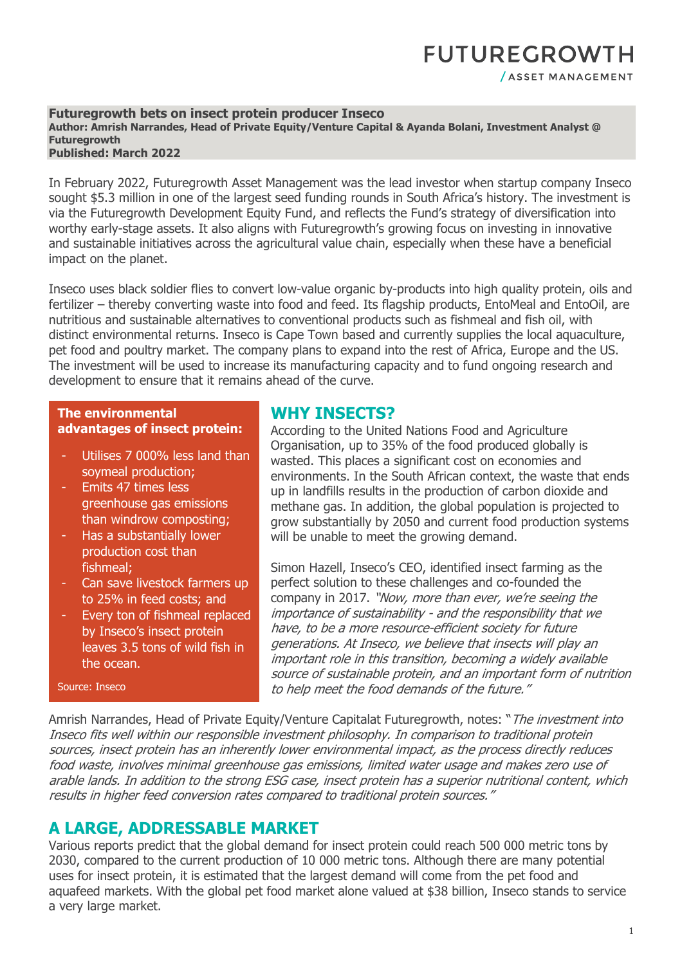## **FUTUREGROWTH** / ASSET MANAGEMENT

#### **Futuregrowth bets on insect protein producer Inseco Author: Amrish Narrandes, Head of Private Equity/Venture Capital & Ayanda Bolani, Investment Analyst @ Futuregrowth Published: March 2022**

In February 2022, Futuregrowth Asset Management was the lead investor when startup company Inseco sought \$5.3 million in one of the largest seed funding rounds in South Africa's history. The investment is via the Futuregrowth Development Equity Fund, and reflects the Fund's strategy of diversification into worthy early-stage assets. It also aligns with Futuregrowth's growing focus on investing in innovative and sustainable initiatives across the agricultural value chain, especially when these have a beneficial impact on the planet.

Inseco uses black soldier flies to convert low-value organic by-products into high quality protein, oils and fertilizer – thereby converting waste into food and feed. Its flagship products, EntoMeal and EntoOil, are nutritious and sustainable alternatives to conventional products such as fishmeal and fish oil, with distinct environmental returns. Inseco is Cape Town based and currently supplies the local aquaculture, pet food and poultry market. The company plans to expand into the rest of Africa, Europe and the US. The investment will be used to increase its manufacturing capacity and to fund ongoing research and development to ensure that it remains ahead of the curve.

#### **The environmental advantages of insect protein:**

- Utilises 7 000% less land than soymeal production;
- Emits 47 times less greenhouse gas emissions than windrow composting;
- Has a substantially lower production cost than fishmeal;
- Can save livestock farmers up to 25% in feed costs; and
- Every ton of fishmeal replaced by Inseco's insect protein leaves 3.5 tons of wild fish in the ocean.

#### Source: Inseco

## **WHY INSECTS?**

According to the United Nations Food and Agriculture Organisation, up to 35% of the food produced globally is wasted. This places a significant cost on economies and environments. In the South African context, the waste that ends up in landfills results in the production of carbon dioxide and methane gas. In addition, the global population is projected to grow substantially by 2050 and current food production systems will be unable to meet the growing demand.

Simon Hazell, Inseco's CEO, identified insect farming as the perfect solution to these challenges and co-founded the company in 2017. "Now, more than ever, we're seeing the importance of sustainability - and the responsibility that we have, to be a more resource-efficient society for future generations. At Inseco, we believe that insects will play an important role in this transition, becoming a widely available source of sustainable protein, and an important form of nutrition to help meet the food demands of the future."

Amrish Narrandes, Head of Private Equity/Venture Capitalat Futuregrowth, notes: "The investment into Inseco fits well within our responsible investment philosophy. In comparison to traditional protein sources, insect protein has an inherently lower environmental impact, as the process directly reduces food waste, involves minimal greenhouse gas emissions, limited water usage and makes zero use of arable lands. In addition to the strong ESG case, insect protein has a superior nutritional content, which results in higher feed conversion rates compared to traditional protein sources."

### **A LARGE, ADDRESSABLE MARKET**

Various reports predict that the global demand for insect protein could reach 500 000 metric tons by 2030, compared to the current production of 10 000 metric tons. Although there are many potential uses for insect protein, it is estimated that the largest demand will come from the pet food and aquafeed markets. With the global pet food market alone valued at \$38 billion, Inseco stands to service a very large market.